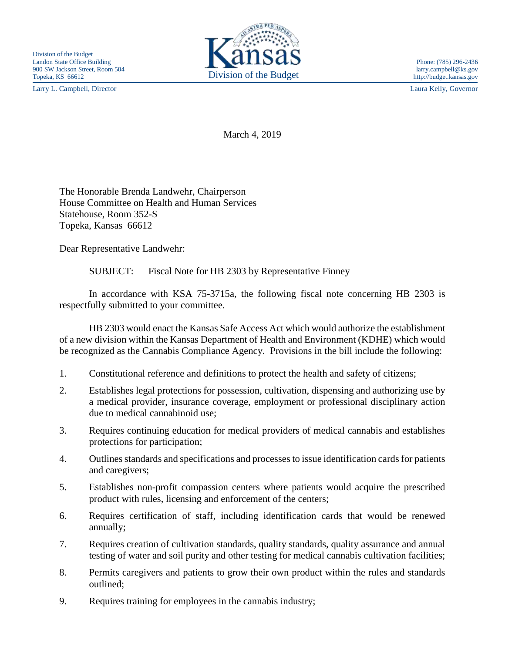Larry L. Campbell, Director Laura Kelly, Governor



http://budget.kansas.gov

March 4, 2019

The Honorable Brenda Landwehr, Chairperson House Committee on Health and Human Services Statehouse, Room 352-S Topeka, Kansas 66612

Dear Representative Landwehr:

SUBJECT: Fiscal Note for HB 2303 by Representative Finney

In accordance with KSA 75-3715a, the following fiscal note concerning HB 2303 is respectfully submitted to your committee.

HB 2303 would enact the Kansas Safe Access Act which would authorize the establishment of a new division within the Kansas Department of Health and Environment (KDHE) which would be recognized as the Cannabis Compliance Agency. Provisions in the bill include the following:

- 1. Constitutional reference and definitions to protect the health and safety of citizens;
- 2. Establishes legal protections for possession, cultivation, dispensing and authorizing use by a medical provider, insurance coverage, employment or professional disciplinary action due to medical cannabinoid use;
- 3. Requires continuing education for medical providers of medical cannabis and establishes protections for participation;
- 4. Outlines standards and specifications and processes to issue identification cards for patients and caregivers;
- 5. Establishes non-profit compassion centers where patients would acquire the prescribed product with rules, licensing and enforcement of the centers;
- 6. Requires certification of staff, including identification cards that would be renewed annually;
- 7. Requires creation of cultivation standards, quality standards, quality assurance and annual testing of water and soil purity and other testing for medical cannabis cultivation facilities;
- 8. Permits caregivers and patients to grow their own product within the rules and standards outlined;
- 9. Requires training for employees in the cannabis industry;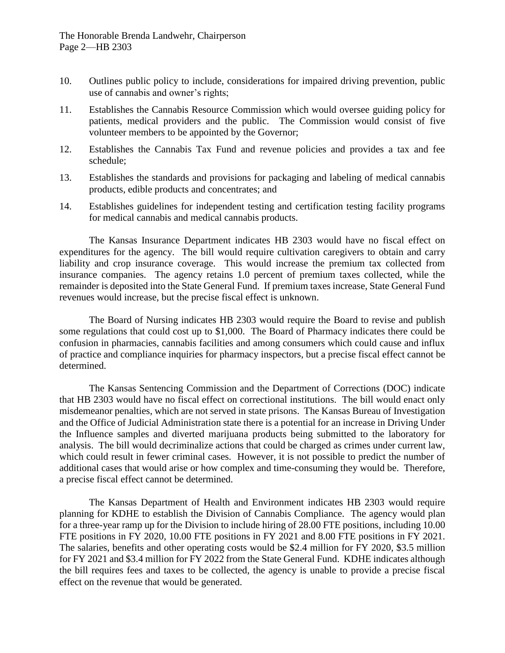- 10. Outlines public policy to include, considerations for impaired driving prevention, public use of cannabis and owner's rights;
- 11. Establishes the Cannabis Resource Commission which would oversee guiding policy for patients, medical providers and the public. The Commission would consist of five volunteer members to be appointed by the Governor;
- 12. Establishes the Cannabis Tax Fund and revenue policies and provides a tax and fee schedule;
- 13. Establishes the standards and provisions for packaging and labeling of medical cannabis products, edible products and concentrates; and
- 14. Establishes guidelines for independent testing and certification testing facility programs for medical cannabis and medical cannabis products.

The Kansas Insurance Department indicates HB 2303 would have no fiscal effect on expenditures for the agency. The bill would require cultivation caregivers to obtain and carry liability and crop insurance coverage. This would increase the premium tax collected from insurance companies. The agency retains 1.0 percent of premium taxes collected, while the remainder is deposited into the State General Fund. If premium taxes increase, State General Fund revenues would increase, but the precise fiscal effect is unknown.

The Board of Nursing indicates HB 2303 would require the Board to revise and publish some regulations that could cost up to \$1,000. The Board of Pharmacy indicates there could be confusion in pharmacies, cannabis facilities and among consumers which could cause and influx of practice and compliance inquiries for pharmacy inspectors, but a precise fiscal effect cannot be determined.

The Kansas Sentencing Commission and the Department of Corrections (DOC) indicate that HB 2303 would have no fiscal effect on correctional institutions. The bill would enact only misdemeanor penalties, which are not served in state prisons. The Kansas Bureau of Investigation and the Office of Judicial Administration state there is a potential for an increase in Driving Under the Influence samples and diverted marijuana products being submitted to the laboratory for analysis. The bill would decriminalize actions that could be charged as crimes under current law, which could result in fewer criminal cases. However, it is not possible to predict the number of additional cases that would arise or how complex and time-consuming they would be. Therefore, a precise fiscal effect cannot be determined.

The Kansas Department of Health and Environment indicates HB 2303 would require planning for KDHE to establish the Division of Cannabis Compliance. The agency would plan for a three-year ramp up for the Division to include hiring of 28.00 FTE positions, including 10.00 FTE positions in FY 2020, 10.00 FTE positions in FY 2021 and 8.00 FTE positions in FY 2021. The salaries, benefits and other operating costs would be \$2.4 million for FY 2020, \$3.5 million for FY 2021 and \$3.4 million for FY 2022 from the State General Fund. KDHE indicates although the bill requires fees and taxes to be collected, the agency is unable to provide a precise fiscal effect on the revenue that would be generated.